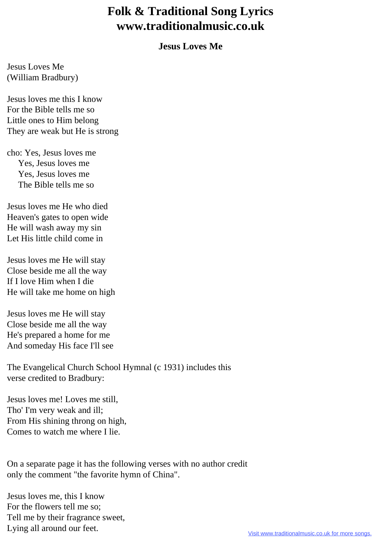## **Folk & Traditional Song Lyrics www.traditionalmusic.co.uk**

## **Jesus Loves Me**

Jesus Loves Me (William Bradbury)

Jesus loves me this I know For the Bible tells me so Little ones to Him belong They are weak but He is strong

cho: Yes, Jesus loves me Yes, Jesus loves me Yes, Jesus loves me The Bible tells me so

Jesus loves me He who died Heaven's gates to open wide He will wash away my sin Let His little child come in

Jesus loves me He will stay Close beside me all the way If I love Him when I die He will take me home on high

Jesus loves me He will stay Close beside me all the way He's prepared a home for me And someday His face I'll see

The Evangelical Church School Hymnal (c 1931) includes this verse credited to Bradbury:

Jesus loves me! Loves me still, Tho' I'm very weak and ill; From His shining throng on high, Comes to watch me where I lie.

On a separate page it has the following verses with no author credit only the comment "the favorite hymn of China".

Jesus loves me, this I know For the flowers tell me so; Tell me by their fragrance sweet, Lying all around our feet.